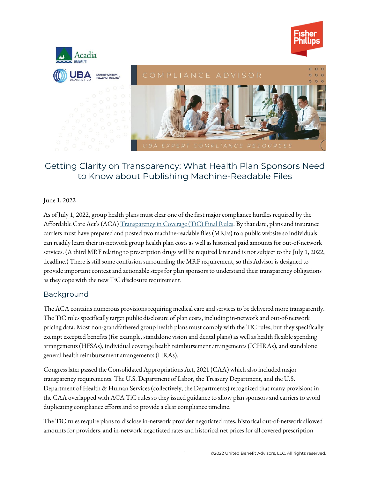



# Getting Clarity on Transparency: What Health Plan Sponsors Need to Know about Publishing Machine-Readable Files

### June 1, 2022

As of July 1, 2022, group health plans must clear one of the first major compliance hurdles required by the Affordable Care Act's (ACA) Transparency in Coverage [\(TiC\) Final Rules.](https://www.federalregister.gov/documents/2020/11/12/2020-24591/transparency-in-coverage) By that date, plans and insurance carriers must have prepared and posted two machine-readable files (MRFs) to a public website so individuals can readily learn their in-network group health plan costs as well as historical paid amounts for out-of-network services. (A third MRF relating to prescription drugs will be required later and is not subject to the July 1, 2022, deadline.) There is still some confusion surrounding the MRF requirement, so this Advisor is designed to provide important context and actionable steps for plan sponsors to understand their transparency obligations as they cope with the new TiC disclosure requirement.

# Background

The ACA contains numerous provisions requiring medical care and services to be delivered more transparently. The TiC rules specifically target public disclosure of plan costs, including in-network and out-of-network pricing data. Most non-grandfathered group health plans must comply with the TiC rules, but they specifically exempt excepted benefits (for example, standalone vision and dental plans) as well as health flexible spending arrangements (HFSAs), individual coverage health reimbursement arrangements (ICHRAs), and standalone general health reimbursement arrangements (HRAs).

Congress later passed the Consolidated Appropriations Act, 2021 (CAA) which also included major transparency requirements. The U.S. Department of Labor, the Treasury Department, and the U.S. Department of Health & Human Services (collectively, the Departments) recognized that many provisions in the CAA overlapped with ACA TiC rules so they issued guidance to allow plan sponsors and carriers to avoid duplicating compliance efforts and to provide a clear compliance timeline.

The TiC rules require plans to disclose in-network provider negotiated rates, historical out-of-network allowed amounts for providers, and in-network negotiated rates and historical net prices for all covered prescription

1 ©2022 United Benefit Advisors, LLC. All rights reserved.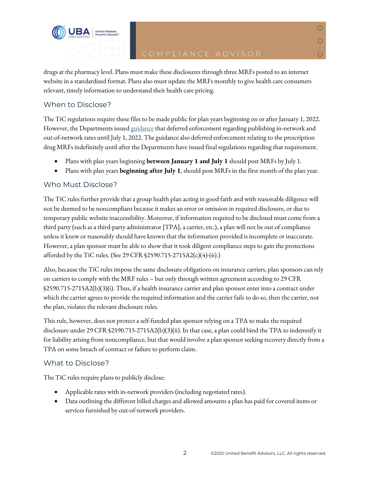

 $\overline{O}$ 

 $\circ$ 

 $\circ$ 

drugs at the pharmacy level. Plans must make these disclosures through three MRFs posted to an internet website in a standardized format. Plans also must update the MRFs monthly to give health care consumers relevant, timely information to understand their health care pricing.

# When to Disclose?

Shared Wisdom

The TiC regulations require these files to be made public for plan years beginning on or after January 1, 2022. However, the Departments issue[d guidance](https://www.dol.gov/sites/dolgov/files/EBSA/about-ebsa/our-activities/resource-center/faqs/aca-part-49.pdf) that deferred enforcement regarding publishing in-network and out-of-network rates until July 1, 2022. The guidance also deferred enforcement relating to the prescription drug MRFs indefinitely until after the Departments have issued final regulations regarding that requirement.

- Plans with plan years beginning **between January 1 and July 1** should post MRFs by July 1.
- Plans with plan years **beginning after July 1**, should post MRFs in the first month of the plan year.

# Who Must Disclose?

The TiC rules further provide that a group health plan acting in good faith and with reasonable diligence will not be deemed to be noncompliant because it makes an error or omission in required disclosure, or due to temporary public website inaccessibility. Moreover, if information required to be disclosed must come from a third party (such as a third-party administrator [TPA], a carrier, etc.), a plan will not be out of compliance unless it knew or reasonably should have known that the information provided is incomplete or inaccurate. However, a plan sponsor must be able to show that it took diligent compliance steps to gain the protections afforded by the TiC rules. (See 29 CFR §2590.715-2715A2(c)(4)-(6).)

Also, because the TiC rules impose the same disclosure obligations on insurance carriers, plan sponsors can rely on carriers to comply with the MRF rules – but only through written agreement according to 29 CFR §2590.715-2715A2(b)(3)(i). Thus, if a health insurance carrier and plan sponsor enter into a contract under which the carrier agrees to provide the required information and the carrier fails to do so, then the carrier, not the plan, violates the relevant disclosure rules.

This rule, however, does not protect a self-funded plan sponsor relying on a TPA to make the required disclosure under 29 CFR §2590.715-2715A2(b)(3)(ii). In that case, a plan could bind the TPA to indemnify it for liability arising from noncompliance, but that would involve a plan sponsor seeking recovery directly from a TPA on some breach of contract or failure to perform claim.

# What to Disclose?

The TiC rules require plans to publicly disclose:

- Applicable rates with in-network providers (including negotiated rates).
- Data outlining the different billed charges and allowed amounts a plan has paid for covered items or services furnished by out-of-network providers.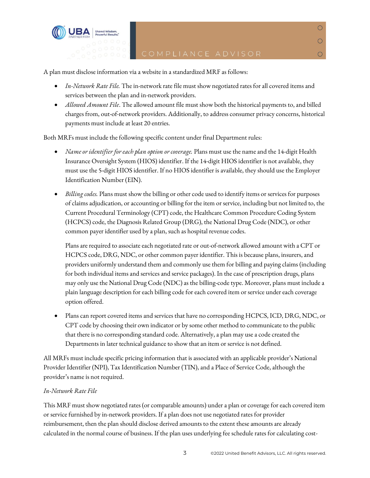

A plan must disclose information via a website in a standardized MRF as follows:

- *In-Network Rate File.* The in-network rate file must show negotiated rates for all covered items and services between the plan and in-network providers.
- *Allowed Amount File*. The allowed amount file must show both the historical payments to, and billed charges from, out-of-network providers. Additionally, to address consumer privacy concerns, historical payments must include at least 20 entries.

Both MRFs must include the following specific content under final Department rules:

- *Name or identifier for each plan option or coverage.* Plans must use the name and the 14-digit Health Insurance Oversight System (HIOS) identifier. If the 14-digit HIOS identifier is not available, they must use the 5-digit HIOS identifier. If no HIOS identifier is available, they should use the Employer Identification Number (EIN).
- *Billing codes.* Plans must show the billing or other code used to identify items or services for purposes of claims adjudication, or accounting or billing for the item or service, including but not limited to, the Current Procedural Terminology (CPT) code, the Healthcare Common Procedure Coding System (HCPCS) code, the Diagnosis Related Group (DRG), the National Drug Code (NDC), or other common payer identifier used by a plan, such as hospital revenue codes.

Plans are required to associate each negotiated rate or out-of-network allowed amount with a CPT or HCPCS code, DRG, NDC, or other common payer identifier. This is because plans, insurers, and providers uniformly understand them and commonly use them for billing and paying claims (including for both individual items and services and service packages). In the case of prescription drugs, plans may only use the National Drug Code (NDC) as the billing-code type. Moreover, plans must include a plain language description for each billing code for each covered item or service under each coverage option offered.

• Plans can report covered items and services that have no corresponding HCPCS, ICD, DRG, NDC, or CPT code by choosing their own indicator or by some other method to communicate to the public that there is no corresponding standard code. Alternatively, a plan may use a code created the Departments in later technical guidance to show that an item or service is not defined.

All MRFs must include specific pricing information that is associated with an applicable provider's National Provider Identifier (NPI), Tax Identification Number (TIN), and a Place of Service Code, although the provider's name is not required.

### *In-Network Rate File*

This MRF must show negotiated rates (or comparable amounts) under a plan or coverage for each covered item or service furnished by in-network providers. If a plan does not use negotiated rates for provider reimbursement, then the plan should disclose derived amounts to the extent these amounts are already calculated in the normal course of business. If the plan uses underlying fee schedule rates for calculating cost-

 $\overline{O}$ 

 $\overline{O}$ 

 $\circ$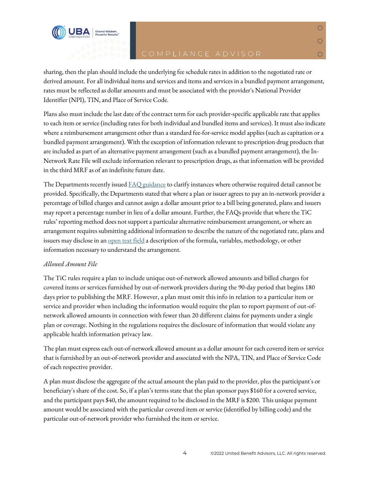$\overline{O}$ 

 $\overline{O}$ 

◯

sharing, then the plan should include the underlying fee schedule rates in addition to the negotiated rate or derived amount. For all individual items and services and items and services in a bundled payment arrangement, rates must be reflected as dollar amounts and must be associated with the provider's National Provider Identifier (NPI), TIN, and Place of Service Code.

Plans also must include the last date of the contract term for each provider-specific applicable rate that applies to each item or service (including rates for both individual and bundled items and services). It must also indicate where a reimbursement arrangement other than a standard fee-for-service model applies (such as capitation or a bundled payment arrangement). With the exception of information relevant to prescription drug products that are included as part of an alternative payment arrangement (such as a bundled payment arrangement), the In-Network Rate File will exclude information relevant to prescription drugs, as that information will be provided in the third MRF as of an indefinite future date.

The Departments recently issued <u>FAQ guidance</u> to clarify instances where otherwise required detail cannot be provided. Specifically, the Departments stated that where a plan or issuer agrees to pay an in-network provider a percentage of billed charges and cannot assign a dollar amount prior to a bill being generated, plans and issuers may report a percentage number in lieu of a dollar amount. Further, the FAQs provide that where the TiC rules' reporting method does not support a particular alternative reimbursement arrangement, or where an arrangement requires submitting additional information to describe the nature of the negotiated rate, plans and issuers may disclose in an <u>open text field</u> a description of the formula, variables, methodology, or other information necessary to understand the arrangement.

### *Allowed Amount File*

**Shared Wisdom** 

The TiC rules require a plan to include unique out-of-network allowed amounts and billed charges for covered items or services furnished by out-of-network providers during the 90-day period that begins 180 days prior to publishing the MRF. However, a plan must omit this info in relation to a particular item or service and provider when including the information would require the plan to report payment of out-ofnetwork allowed amounts in connection with fewer than 20 different claims for payments under a single plan or coverage. Nothing in the regulations requires the disclosure of information that would violate any applicable health information privacy law.

The plan must express each out-of-network allowed amount as a dollar amount for each covered item or service that is furnished by an out-of-network provider and associated with the NPA, TIN, and Place of Service Code of each respective provider.

A plan must disclose the aggregate of the actual amount the plan paid to the provider, plus the participant's or beneficiary's share of the cost. So, if a plan's terms state that the plan sponsor pays \$160 for a covered service, and the participant pays \$40, the amount required to be disclosed in the MRF is \$200. This unique payment amount would be associated with the particular covered item or service (identified by billing code) and the particular out-of-network provider who furnished the item or service.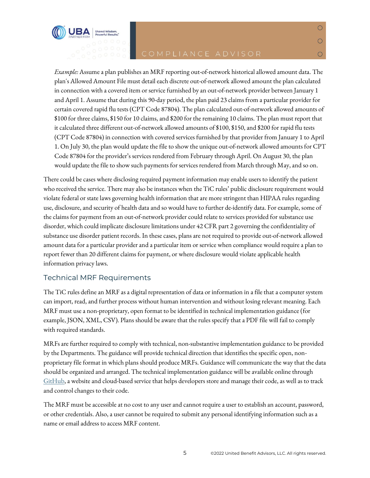

 $\overline{O}$ 

 $\overline{O}$ 

О

*Example:* Assume a plan publishes an MRF reporting out-of-network historical allowed amount data. The plan's Allowed Amount File must detail each discrete out-of-network allowed amount the plan calculated in connection with a covered item or service furnished by an out-of-network provider between January 1 and April 1. Assume that during this 90-day period, the plan paid 23 claims from a particular provider for certain covered rapid flu tests (CPT Code 87804). The plan calculated out-of-network allowed amounts of \$100 for three claims, \$150 for 10 claims, and \$200 for the remaining 10 claims. The plan must report that it calculated three different out-of-network allowed amounts of \$100, \$150, and \$200 for rapid flu tests (CPT Code 87804) in connection with covered services furnished by that provider from January 1 to April 1. On July 30, the plan would update the file to show the unique out-of-network allowed amounts for CPT Code 87804 for the provider's services rendered from February through April. On August 30, the plan would update the file to show such payments for services rendered from March through May, and so on.

There could be cases where disclosing required payment information may enable users to identify the patient who received the service. There may also be instances when the TiC rules' public disclosure requirement would violate federal or state laws governing health information that are more stringent than HIPAA rules regarding use, disclosure, and security of health data and so would have to further de-identify data. For example, some of the claims for payment from an out-of-network provider could relate to services provided for substance use disorder, which could implicate disclosure limitations under 42 CFR part 2 governing the confidentiality of substance use disorder patient records. In these cases, plans are not required to provide out-of-network allowed amount data for a particular provider and a particular item or service when compliance would require a plan to report fewer than 20 different claims for payment, or where disclosure would violate applicable health information privacy laws.

# Technical MRF Requirements

The TiC rules define an MRF as a digital representation of data or information in a file that a computer system can import, read, and further process without human intervention and without losing relevant meaning. Each MRF must use a non-proprietary, open format to be identified in technical implementation guidance (for example, JSON, XML, CSV). Plans should be aware that the rules specify that a PDF file will fail to comply with required standards.

MRFsare further required to comply with technical, non-substantive implementation guidance to be provided by the Departments. The guidance will provide technical direction that identifies the specific open, nonproprietary file format in which plans should produce MRFs. Guidance will communicate the way that the data should be organized and arranged. The technical implementation guidance will be available online through [GitHub,](https://github.com/CMSgov/price-transparency-guide/discussions) a website and cloud-based service that helps developers store and manage their code, as well as to track and control changes to their code.

The MRF must be accessible at no cost to any user and cannot require a user to establish an account, password, or other credentials. Also, a user cannot be required to submit any personal identifying information such as a name or email address to access MRF content.

5 ©2022 United Benefit Advisors, LLC. All rights reserved.